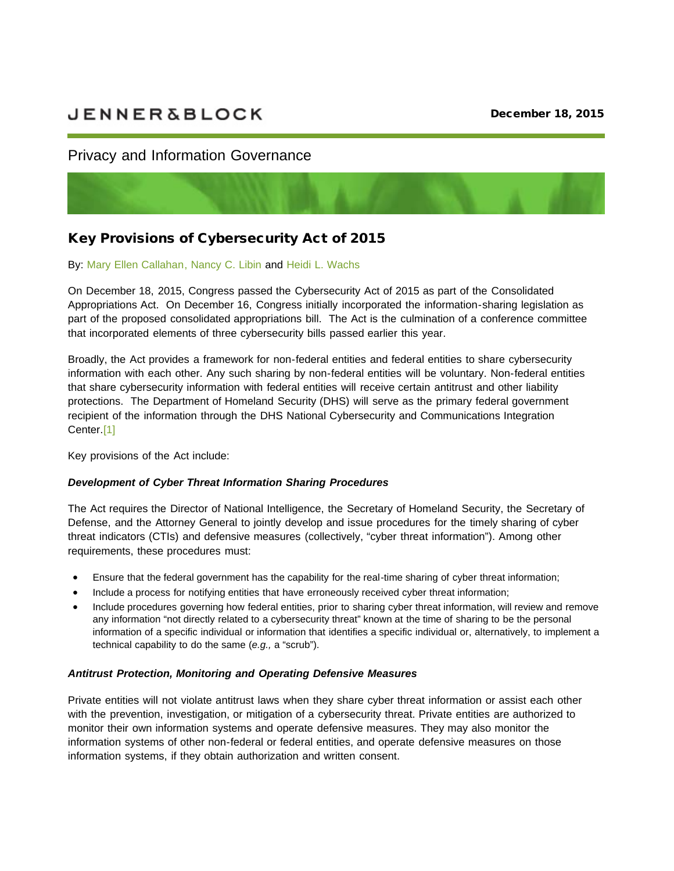# **JENNER&BLOCK**

## Privacy and Information Governance



# Key Provisions of Cybersecurity Act of 2015

#### By: [Mary Ellen Callahan,](http://sites.jenner.vuturevx.com/email_handler.aspx?sid=33b2f36d-c130-4b99-b8b8-e0d0625a0dce&redirect=https%3a%2f%2fjenner.com%2fpeople%2fMaryEllenCallahan) [Nancy C. Libin](http://sites.jenner.vuturevx.com/email_handler.aspx?sid=33b2f36d-c130-4b99-b8b8-e0d0625a0dce&redirect=https%3a%2f%2fjenner.com%2fpeople%2fNancyLibin) and [Heidi L. Wachs](http://sites.jenner.vuturevx.com/email_handler.aspx?sid=33b2f36d-c130-4b99-b8b8-e0d0625a0dce&redirect=https%3a%2f%2fjenner.com%2fpeople%2fHeidiWachs)

On December 18, 2015, Congress passed the Cybersecurity Act of 2015 as part of the Consolidated Appropriations Act. On December 16, Congress initially incorporated the information-sharing legislation as part of the proposed consolidated appropriations bill. The Act is the culmination of a conference committee that incorporated elements of three cybersecurity bills passed earlier this year.

Broadly, the Act provides a framework for non-federal entities and federal entities to share cybersecurity information with each other. Any such sharing by non-federal entities will be voluntary. Non-federal entities that share cybersecurity information with federal entities will receive certain antitrust and other liability protections. The Department of Homeland Security (DHS) will serve as the primary federal government recipient of the information through the DHS National Cybersecurity and Communications Integration Center[.\[1\]](http://sites.jenner.vuturevx.com/email_handler.aspx?sid=33b2f36d-c130-4b99-b8b8-e0d0625a0dce&redirect=file%3a%2f%2f%2fC%3a%2fUsers%2fjablonk%2fAppData%2fLocal%2fMicrosoft%2fWindows%2fTemporary+Internet+Files%2fContent.Outlook%2f01JSE0UZ%2fWASHINGTON_DC-%252385250-v1+-+(COPY)+PIG+Alert+-+Cybersecurity+Act+of+2015.DOCX%23_ftn1)

Key provisions of the Act include:

#### *Development of Cyber Threat Information Sharing Procedures*

The Act requires the Director of National Intelligence, the Secretary of Homeland Security, the Secretary of Defense, and the Attorney General to jointly develop and issue procedures for the timely sharing of cyber threat indicators (CTIs) and defensive measures (collectively, "cyber threat information"). Among other requirements, these procedures must:

- · Ensure that the federal government has the capability for the real-time sharing of cyber threat information;
- Include a process for notifying entities that have erroneously received cyber threat information;
- · Include procedures governing how federal entities, prior to sharing cyber threat information, will review and remove any information "not directly related to a cybersecurity threat" known at the time of sharing to be the personal information of a specific individual or information that identifies a specific individual or, alternatively, to implement a technical capability to do the same (*e.g.,* a "scrub").

#### *Antitrust Protection, Monitoring and Operating Defensive Measures*

Private entities will not violate antitrust laws when they share cyber threat information or assist each other with the prevention, investigation, or mitigation of a cybersecurity threat. Private entities are authorized to monitor their own information systems and operate defensive measures. They may also monitor the information systems of other non-federal or federal entities, and operate defensive measures on those information systems, if they obtain authorization and written consent.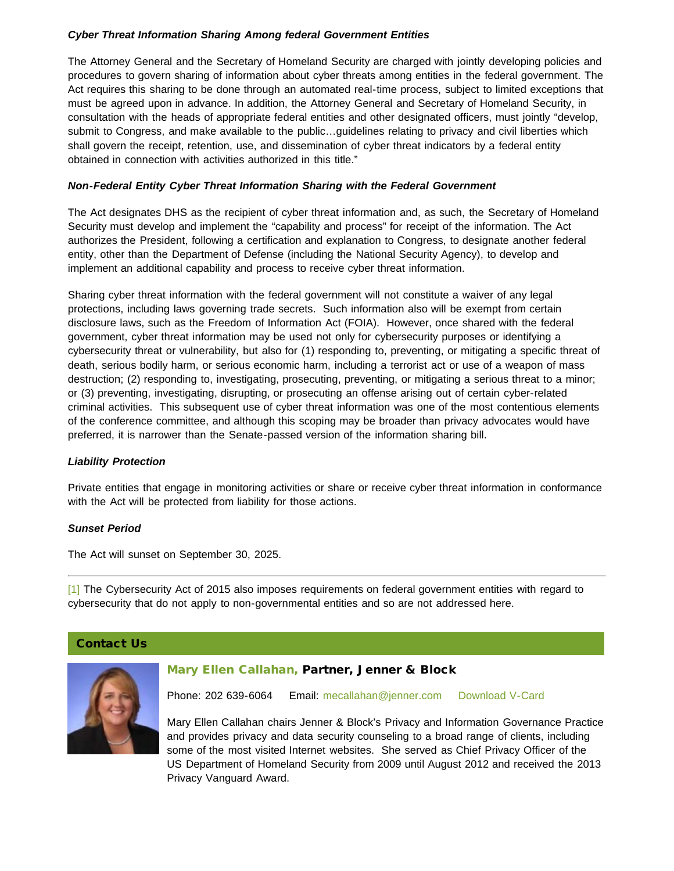#### *Cyber Threat Information Sharing Among federal Government Entities*

The Attorney General and the Secretary of Homeland Security are charged with jointly developing policies and procedures to govern sharing of information about cyber threats among entities in the federal government. The Act requires this sharing to be done through an automated real-time process, subject to limited exceptions that must be agreed upon in advance. In addition, the Attorney General and Secretary of Homeland Security, in consultation with the heads of appropriate federal entities and other designated officers, must jointly "develop, submit to Congress, and make available to the public…guidelines relating to privacy and civil liberties which shall govern the receipt, retention, use, and dissemination of cyber threat indicators by a federal entity obtained in connection with activities authorized in this title."

#### *Non-Federal Entity Cyber Threat Information Sharing with the Federal Government*

The Act designates DHS as the recipient of cyber threat information and, as such, the Secretary of Homeland Security must develop and implement the "capability and process" for receipt of the information. The Act authorizes the President, following a certification and explanation to Congress, to designate another federal entity, other than the Department of Defense (including the National Security Agency), to develop and implement an additional capability and process to receive cyber threat information.

Sharing cyber threat information with the federal government will not constitute a waiver of any legal protections, including laws governing trade secrets. Such information also will be exempt from certain disclosure laws, such as the Freedom of Information Act (FOIA). However, once shared with the federal government, cyber threat information may be used not only for cybersecurity purposes or identifying a cybersecurity threat or vulnerability, but also for (1) responding to, preventing, or mitigating a specific threat of death, serious bodily harm, or serious economic harm, including a terrorist act or use of a weapon of mass destruction; (2) responding to, investigating, prosecuting, preventing, or mitigating a serious threat to a minor; or (3) preventing, investigating, disrupting, or prosecuting an offense arising out of certain cyber-related criminal activities. This subsequent use of cyber threat information was one of the most contentious elements of the conference committee, and although this scoping may be broader than privacy advocates would have preferred, it is narrower than the Senate-passed version of the information sharing bill.

#### *Liability Protection*

Private entities that engage in monitoring activities or share or receive cyber threat information in conformance with the Act will be protected from liability for those actions.

#### *Sunset Period*

The Act will sunset on September 30, 2025.

[\[1\]](http://sites.jenner.vuturevx.com/email_handler.aspx?sid=33b2f36d-c130-4b99-b8b8-e0d0625a0dce&redirect=file%3a%2f%2f%2fC%3a%2fUsers%2fjablonk%2fAppData%2fLocal%2fMicrosoft%2fWindows%2fTemporary+Internet+Files%2fContent.Outlook%2f01JSE0UZ%2fWASHINGTON_DC-%252385250-v1+-+(COPY)+PIG+Alert+-+Cybersecurity+Act+of+2015.DOCX%23_ftnref1) The Cybersecurity Act of 2015 also imposes requirements on federal government entities with regard to cybersecurity that do not apply to non-governmental entities and so are not addressed here.

#### Contact Us



#### [Mary Ellen Callahan,](http://sites.jenner.vuturevx.com/email_handler.aspx?sid=33b2f36d-c130-4b99-b8b8-e0d0625a0dce&redirect=http%3a%2f%2fjenner.com%2fpeople%2fMaryEllenCallahan) Partner, Jenner & Block

Phone: 202 639-6064 Email: [mecallahan@jenner.com](mailto:mecallahan@jenner.com) [Download V-Card](http://sites.jenner.vuturevx.com/email_handler.aspx?sid=33b2f36d-c130-4b99-b8b8-e0d0625a0dce&redirect=http%3a%2f%2fjenner.com%2fpeople%2f593%2fvcard)

Mary Ellen Callahan chairs Jenner & Block's Privacy and Information Governance Practice and provides privacy and data security counseling to a broad range of clients, including some of the most visited Internet websites. She served as Chief Privacy Officer of the US Department of Homeland Security from 2009 until August 2012 and received the 2013 Privacy Vanguard Award.